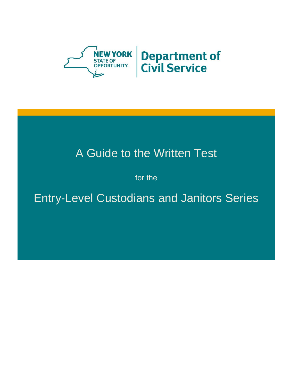

# A Guide to the Written Test

for the

Entry-Level Custodians and Janitors Series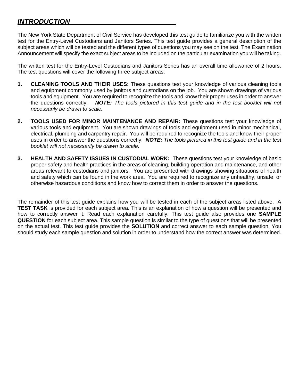## *INTRODUCTION*

The New York State Department of Civil Service has developed this test guide to familiarize you with the written test for the Entry-Level Custodians and Janitors Series. This test guide provides a general description of the subject areas which will be tested and the different types of questions you may see on the test. The Examination Announcement will specify the exact subject areas to be included on the particular examination you will be taking.

The written test for the Entry-Level Custodians and Janitors Series has an overall time allowance of 2 hours. The test questions will cover the following three subject areas:

- **1. CLEANING TOOLS AND THEIR USES:** These questions test your knowledge of various cleaning tools and equipment commonly used by janitors and custodians on the job. You are shown drawings of various tools and equipment. You are required to recognize the tools and know their proper uses in order to answer the questions correctly. *NOTE: The tools pictured in this test guide and in the test booklet will not necessarily be drawn to scale.*
- **2. TOOLS USED FOR MINOR MAINTENANCE AND REPAIR:** These questions test your knowledge of various tools and equipment. You are shown drawings of tools and equipment used in minor mechanical, electrical, plumbing and carpentry repair. You will be required to recognize the tools and know their proper uses in order to answer the questions correctly. *NOTE: The tools pictured in this test guide and in the test booklet will not necessarily be drawn to scale.*
- **3. HEALTH AND SAFETY ISSUES IN CUSTODIAL WORK:** These questions test your knowledge of basic proper safety and health practices in the areas of cleaning, building operation and maintenance, and other areas relevant to custodians and janitors. You are presented with drawings showing situations of health and safety which can be found in the work area. You are required to recognize any unhealthy, unsafe, or otherwise hazardous conditions and know how to correct them in order to answer the questions.

The remainder of this test guide explains how you will be tested in each of the subject areas listed above. A **TEST TASK** is provided for each subject area. This is an explanation of how a question will be presented and how to correctly answer it. Read each explanation carefully. This test guide also provides one **SAMPLE QUESTION** for each subject area. This sample question is similar to the type of questions that will be presented on the actual test. This test guide provides the **SOLUTION** and correct answer to each sample question. You should study each sample question and solution in order to understand how the correct answer was determined.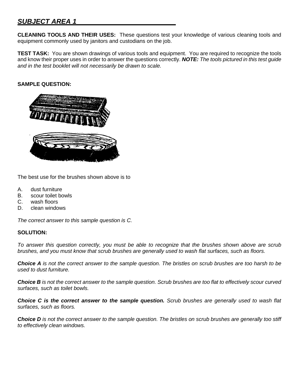## *SUBJECT AREA 1*

**CLEANING TOOLS AND THEIR USES:** These questions test your knowledge of various cleaning tools and equipment commonly used by janitors and custodians on the job.

**TEST TASK:** You are shown drawings of various tools and equipment. You are required to recognize the tools and know their proper uses in order to answer the questions correctly. *NOTE: The tools pictured in this test guide and in the test booklet will not necessarily be drawn to scale.*

#### **SAMPLE QUESTION:**



The best use for the brushes shown above is to

- A. dust furniture
- B. scour toilet bowls
- C. wash floors
- D. clean windows

*The correct answer to this sample question is C.*

#### **SOLUTION:**

*To answer this question correctly, you must be able to recognize that the brushes shown above are scrub brushes, and you must know that scrub brushes are generally used to wash flat surfaces, such as floors.*

*Choice A is not the correct answer to the sample question. The bristles on scrub brushes are too harsh to be used to dust furniture.*

*Choice B is not the correct answer to the sample question. Scrub brushes are too flat to effectively scour curved surfaces, such as toilet bowls.*

*Choice C is the correct answer to the sample question. Scrub brushes are generally used to wash flat surfaces, such as floors.* 

*Choice D is not the correct answer to the sample question. The bristles on scrub brushes are generally too stiff to effectively clean windows.*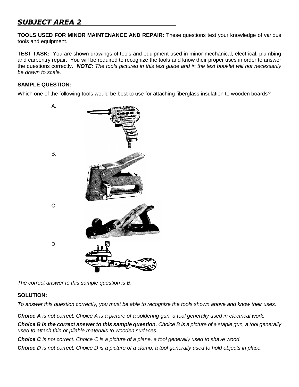# *SUBJECT AREA 2*

**TOOLS USED FOR MINOR MAINTENANCE AND REPAIR:** These questions test your knowledge of various tools and equipment.

**TEST TASK:** You are shown drawings of tools and equipment used in minor mechanical, electrical, plumbing and carpentry repair. You will be required to recognize the tools and know their proper uses in order to answer the questions correctly. *NOTE: The tools pictured in this test guide and in the test booklet will not necessarily be drawn to scale.*

#### **SAMPLE QUESTION:**

Which one of the following tools would be best to use for attaching fiberglass insulation to wooden boards?



*The correct answer to this sample question is B.*

#### **SOLUTION:**

*To answer this question correctly, you must be able to recognize the tools shown above and know their uses.*

*Choice A is not correct. Choice A is a picture of a soldering gun, a tool generally used in electrical work.*

*Choice B is the correct answer to this sample question. Choice B is a picture of a staple gun, a tool generally used to attach thin or pliable materials to wooden surfaces.*

*Choice C is not correct. Choice C is a picture of a plane, a tool generally used to shave wood.*

*Choice D is not correct. Choice D is a picture of a clamp, a tool generally used to hold objects in place.*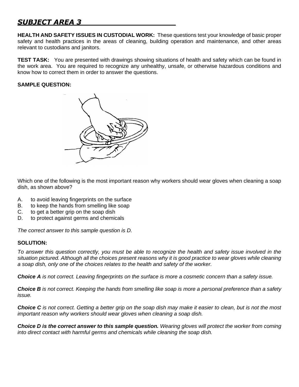# *SUBJECT AREA 3*

**HEALTH AND SAFETY ISSUES IN CUSTODIAL WORK:** These questions test your knowledge of basic proper safety and health practices in the areas of cleaning, building operation and maintenance, and other areas relevant to custodians and janitors.

**TEST TASK:** You are presented with drawings showing situations of health and safety which can be found in the work area. You are required to recognize any unhealthy, unsafe, or otherwise hazardous conditions and know how to correct them in order to answer the questions.

#### **SAMPLE QUESTION:**



Which one of the following is the most important reason why workers should wear gloves when cleaning a soap dish, as shown above?

- A. to avoid leaving fingerprints on the surface
- B. to keep the hands from smelling like soap
- C. to get a better grip on the soap dish
- D. to protect against germs and chemicals

*The correct answer to this sample question is D.*

#### **SOLUTION:**

*To answer this question correctly, you must be able to recognize the health and safety issue involved in the*  situation pictured. Although all the choices present reasons why it is good practice to wear gloves while cleaning *a soap dish, only one of the choices relates to the health and safety of the worker.* 

*Choice A is not correct. Leaving fingerprints on the surface is more a cosmetic concern than a safety issue.*

*Choice B is not correct. Keeping the hands from smelling like soap is more a personal preference than a safety issue.*

*Choice C is not correct. Getting a better grip on the soap dish may make it easier to clean, but is not the most important reason why workers should wear gloves when cleaning a soap dish.*

*Choice D is the correct answer to this sample question. Wearing gloves will protect the worker from coming into direct contact with harmful germs and chemicals while cleaning the soap dish.*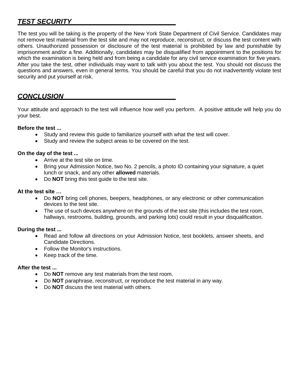# *TEST SECURITY*

The test you will be taking is the property of the New York State Department of Civil Service. Candidates may not remove test material from the test site and may not reproduce, reconstruct, or discuss the test content with others. Unauthorized possession or disclosure of the test material is prohibited by law and punishable by imprisonment and/or a fine. Additionally, candidates may be disqualified from appointment to the positions for which the examination is being held and from being a candidate for any civil service examination for five years. After you take the test, other individuals may want to talk with you about the test. You should not discuss the questions and answers, even in general terms. You should be careful that you do not inadvertently violate test security and put yourself at risk.

# *CONCLUSION*

Your attitude and approach to the test will influence how well you perform. A positive attitude will help you do your best.

#### **Before the test ...**

- Study and review this guide to familiarize yourself with what the test will cover.
- Study and review the subject areas to be covered on the test.

#### **On the day of the test ...**

- Arrive at the test site on time.
- Bring your Admission Notice, two No. 2 pencils, a photo ID containing your signature, a quiet lunch or snack, and any other **allowed** materials.
- Do **NOT** bring this test guide to the test site.

#### **At the test site …**

- Do **NOT** bring cell phones, beepers, headphones, or any electronic or other communication devices to the test site.
- The use of such devices anywhere on the grounds of the test site (this includes the test room, hallways, restrooms, building, grounds, and parking lots) could result in your disqualification.

#### **During the test ...**

- Read and follow all directions on your Admission Notice, test booklets, answer sheets, and Candidate Directions.
- Follow the Monitor's instructions.
- Keep track of the time.

#### **After the test ...**

- Do **NOT** remove any test materials from the test room.
- Do **NOT** paraphrase, reconstruct, or reproduce the test material in any way.
- Do **NOT** discuss the test material with others.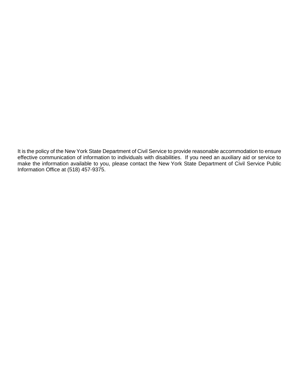It is the policy of the New York State Department of Civil Service to provide reasonable accommodation to ensure effective communication of information to individuals with disabilities. If you need an auxiliary aid or service to make the information available to you, please contact the New York State Department of Civil Service Public Information Office at (518) 457-9375.